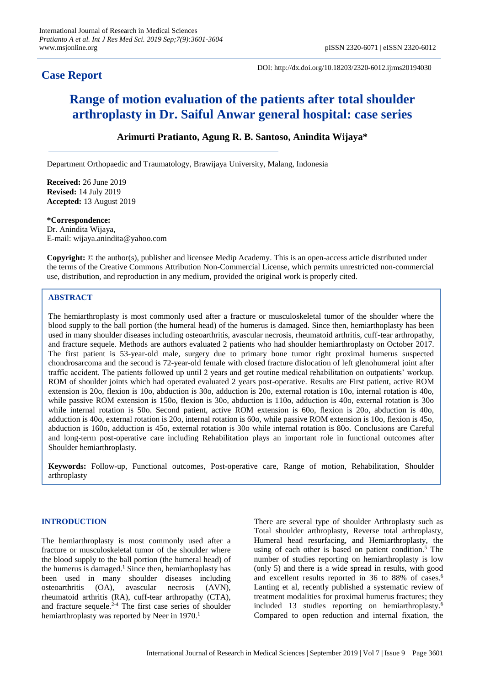# **Case Report**

DOI: http://dx.doi.org/10.18203/2320-6012.ijrms20194030

# **Range of motion evaluation of the patients after total shoulder arthroplasty in Dr. Saiful Anwar general hospital: case series**

## **Arimurti Pratianto, Agung R. B. Santoso, Anindita Wijaya\***

Department Orthopaedic and Traumatology, Brawijaya University, Malang, Indonesia

**Received:** 26 June 2019 **Revised:** 14 July 2019 **Accepted:** 13 August 2019

**\*Correspondence:** Dr. Anindita Wijaya, E-mail: wijaya.anindita@yahoo.com

**Copyright:** © the author(s), publisher and licensee Medip Academy. This is an open-access article distributed under the terms of the Creative Commons Attribution Non-Commercial License, which permits unrestricted non-commercial use, distribution, and reproduction in any medium, provided the original work is properly cited.

#### **ABSTRACT**

The hemiarthroplasty is most commonly used after a fracture or musculoskeletal tumor of the shoulder where the blood supply to the ball portion (the humeral head) of the humerus is damaged. Since then, hemiarthoplasty has been used in many shoulder diseases including osteoarthritis, avascular necrosis, rheumatoid arthritis, cuff-tear arthropathy, and fracture sequele. Methods are authors evaluated 2 patients who had shoulder hemiarthroplasty on October 2017. The first patient is 53-year-old male, surgery due to primary bone tumor right proximal humerus suspected chondrosarcoma and the second is 72-year-old female with closed fracture dislocation of left glenohumeral joint after traffic accident. The patients followed up until 2 years and get routine medical rehabilitation on outpatients' workup. ROM of shoulder joints which had operated evaluated 2 years post-operative. Results are First patient, active ROM extension is 20o, flexion is 10o, abduction is 30o, adduction is 20o, external rotation is 10o, internal rotation is 40o, while passive ROM extension is 150o, flexion is 30o, abduction is 110o, adduction is 40o, external rotation is 30o while internal rotation is 50o. Second patient, active ROM extension is 60o, flexion is 20o, abduction is 40o, adduction is 40o, external rotation is 20o, internal rotation is 60o, while passive ROM extension is 10o, flexion is 45o, abduction is 160o, adduction is 45o, external rotation is 30o while internal rotation is 80o. Conclusions are Careful and long-term post-operative care including Rehabilitation plays an important role in functional outcomes after Shoulder hemiarthroplasty.

**Keywords:** Follow-up, Functional outcomes, Post-operative care, Range of motion, Rehabilitation, Shoulder arthroplasty

#### **INTRODUCTION**

The hemiarthroplasty is most commonly used after a fracture or musculoskeletal tumor of the shoulder where the blood supply to the ball portion (the humeral head) of the humerus is damaged.<sup>1</sup> Since then, hemiarthoplasty has been used in many shoulder diseases including osteoarthritis (OA), avascular necrosis (AVN), rheumatoid arthritis (RA), cuff-tear arthropathy (CTA), and fracture sequele.<sup>2-4</sup> The first case series of shoulder hemiarthroplasty was reported by Neer in 1970.<sup>1</sup>

There are several type of shoulder Arthroplasty such as Total shoulder arthroplasty, Reverse total arthroplasty, Humeral head resurfacing, and Hemiarthroplasty, the using of each other is based on patient condition.<sup>5</sup> The number of studies reporting on hemiarthroplasty is low (only 5) and there is a wide spread in results, with good and excellent results reported in 36 to 88% of cases.<sup>6</sup> Lanting et al, recently published a systematic review of treatment modalities for proximal humerus fractures; they included 13 studies reporting on hemiarthroplasty.<sup>6</sup> Compared to open reduction and internal fixation, the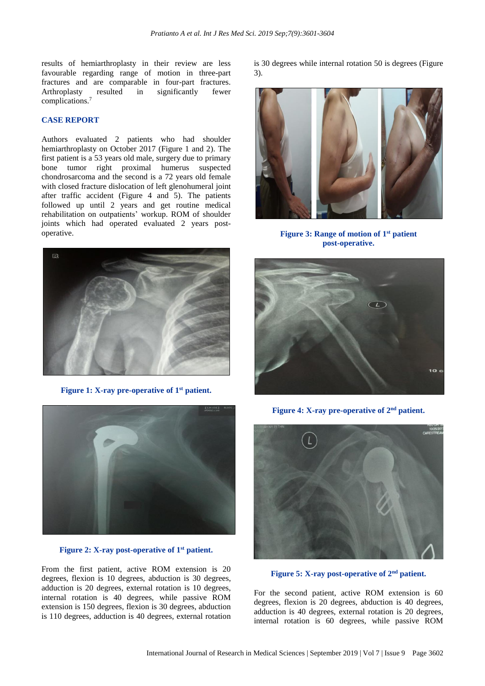results of hemiarthroplasty in their review are less favourable regarding range of motion in three-part fractures and are comparable in four-part fractures. Arthroplasty resulted in significantly fewer complications. 7

### **CASE REPORT**

Authors evaluated 2 patients who had shoulder hemiarthroplasty on October 2017 (Figure 1 and 2). The first patient is a 53 years old male, surgery due to primary bone tumor right proximal humerus suspected chondrosarcoma and the second is a 72 years old female with closed fracture dislocation of left glenohumeral joint after traffic accident (Figure 4 and 5). The patients followed up until 2 years and get routine medical rehabilitation on outpatients' workup. ROM of shoulder joints which had operated evaluated 2 years postoperative.



**Figure 1: X-ray pre-operative of 1 st patient.**



**Figure 2: X-ray post-operative of 1 st patient.**

From the first patient, active ROM extension is 20 degrees, flexion is 10 degrees, abduction is 30 degrees, adduction is 20 degrees, external rotation is 10 degrees, internal rotation is 40 degrees, while passive ROM extension is 150 degrees, flexion is 30 degrees, abduction is 110 degrees, adduction is 40 degrees, external rotation is 30 degrees while internal rotation 50 is degrees (Figure 3).



**Figure 3: Range of motion of 1 st patient post-operative.**



**Figure 4: X-ray pre-operative of 2 nd patient.**



**Figure 5: X-ray post-operative of 2nd patient.**

For the second patient, active ROM extension is 60 degrees, flexion is 20 degrees, abduction is 40 degrees, adduction is 40 degrees, external rotation is 20 degrees, internal rotation is 60 degrees, while passive ROM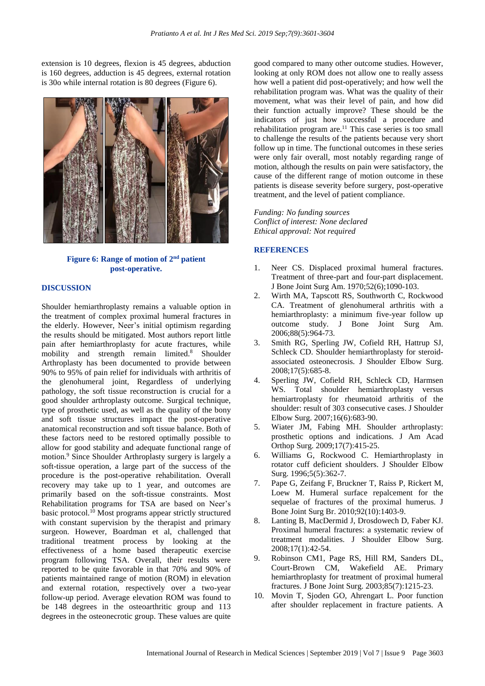extension is 10 degrees, flexion is 45 degrees, abduction is 160 degrees, adduction is 45 degrees, external rotation is 30o while internal rotation is 80 degrees (Figure 6).



**Figure 6: Range of motion of 2 nd patient post-operative.**

#### **DISCUSSION**

Shoulder hemiarthroplasty remains a valuable option in the treatment of complex proximal humeral fractures in the elderly. However, Neer's initial optimism regarding the results should be mitigated. Most authors report little pain after hemiarthroplasty for acute fractures, while mobility and strength remain limited.<sup>8</sup> Shoulder Arthroplasty has been documented to provide between 90% to 95% of pain relief for individuals with arthritis of the glenohumeral joint, Regardless of underlying pathology, the soft tissue reconstruction is crucial for a good shoulder arthroplasty outcome. Surgical technique, type of prosthetic used, as well as the quality of the bony and soft tissue structures impact the post-operative anatomical reconstruction and soft tissue balance. Both of these factors need to be restored optimally possible to allow for good stability and adequate functional range of motion.<sup>9</sup> Since Shoulder Arthroplasty surgery is largely a soft-tissue operation, a large part of the success of the procedure is the post-operative rehabilitation. Overall recovery may take up to 1 year, and outcomes are primarily based on the soft-tissue constraints. Most Rehabilitation programs for TSA are based on Neer's basic protocol.<sup>10</sup> Most programs appear strictly structured with constant supervision by the therapist and primary surgeon. However, Boardman et al, challenged that traditional treatment process by looking at the effectiveness of a home based therapeutic exercise program following TSA. Overall, their results were reported to be quite favorable in that 70% and 90% of patients maintained range of motion (ROM) in elevation and external rotation, respectively over a two-year follow-up period. Average elevation ROM was found to be 148 degrees in the osteoarthritic group and 113 degrees in the osteonecrotic group. These values are quite good compared to many other outcome studies. However, looking at only ROM does not allow one to really assess how well a patient did post-operatively; and how well the rehabilitation program was. What was the quality of their movement, what was their level of pain, and how did their function actually improve? These should be the indicators of just how successful a procedure and rehabilitation program are.<sup>11</sup> This case series is too small to challenge the results of the patients because very short follow up in time. The functional outcomes in these series were only fair overall, most notably regarding range of motion, although the results on pain were satisfactory, the cause of the different range of motion outcome in these patients is disease severity before surgery, post-operative treatment, and the level of patient compliance.

*Funding: No funding sources Conflict of interest: None declared Ethical approval: Not required*

#### **REFERENCES**

- 1. Neer CS. Displaced proximal humeral fractures. Treatment of three-part and four-part displacement. J Bone Joint Surg Am. 1970;52(6);1090-103.
- 2. Wirth MA, Tapscott RS, Southworth C, Rockwood CA. Treatment of glenohumeral arthritis with a hemiarthroplasty: a minimum five-year follow up outcome study. J Bone Joint Surg Am. 2006;88(5):964-73.
- 3. Smith RG, Sperling JW, Cofield RH, Hattrup SJ, Schleck CD. Shoulder hemiarthroplasty for steroidassociated osteonecrosis. J Shoulder Elbow Surg. 2008;17(5):685-8.
- 4. Sperling JW, Cofield RH, Schleck CD, Harmsen WS. Total shoulder hemiarthroplasty versus hemiartroplasty for rheumatoid arthritis of the shoulder: result of 303 consecutive cases. J Shoulder Elbow Surg. 2007;16(6):683-90.
- 5. Wiater JM, Fabing MH. Shoulder arthroplasty: prosthetic options and indications. J Am Acad Orthop Surg. 2009;17(7):415-25.
- 6. Williams G, Rockwood C. Hemiarthroplasty in rotator cuff deficient shoulders. J Shoulder Elbow Surg. 1996;5(5):362-7.
- 7. Pape G, Zeifang F, Bruckner T, Raiss P, Rickert M, Loew M. Humeral surface repalcement for the sequelae of fractures of the proximal humerus. J Bone Joint Surg Br. 2010;92(10):1403-9.
- 8. Lanting B, MacDermid J, Drosdowech D, Faber KJ. Proximal humeral fractures: a systematic review of treatment modalities. J Shoulder Elbow Surg. 2008;17(1):42-54.
- 9. Robinson CM1, Page RS, Hill RM, Sanders DL, Court-Brown CM, Wakefield AE. Primary hemiarthroplasty for treatment of proximal humeral fractures. J Bone Joint Surg. 2003;85(7):1215-23.
- 10. Movin T, Sjoden GO, Ahrengart L. Poor function after shoulder replacement in fracture patients. A